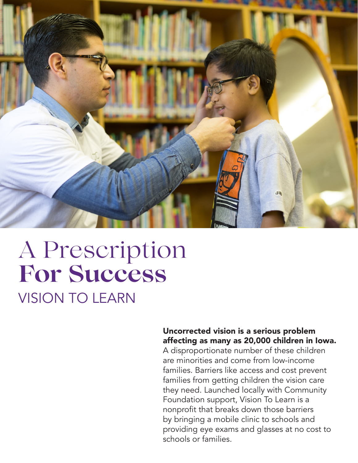

## VISION TO LEARN A Prescription **For Success**

#### Uncorrected vision is a serious problem affecting as many as 20,000 children in Iowa.

A disproportionate number of these children are minorities and come from low-income families. Barriers like access and cost prevent families from getting children the vision care they need. Launched locally with Community Foundation support, Vision To Learn is a nonprofit that breaks down those barriers by bringing a mobile clinic to schools and providing eye exams and glasses at no cost to schools or families.